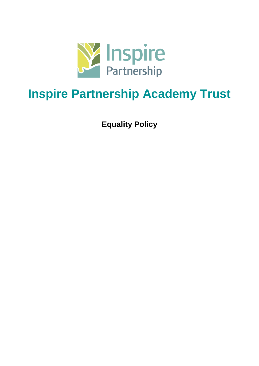

# **Inspire Partnership Academy Trust**

**Equality Policy**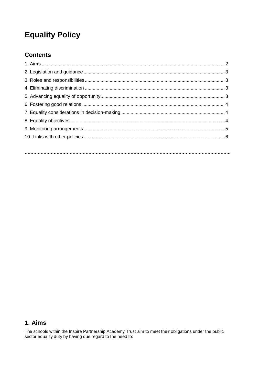## **Equality Policy**

## **Contents**

## 1. Aims

The schools within the Inspire Partnership Academy Trust aim to meet their obligations under the public sector equality duty by having due regard to the need to: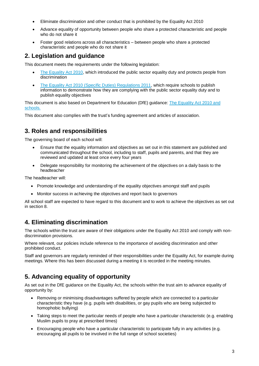- Eliminate discrimination and other conduct that is prohibited by the Equality Act 2010
- Advance equality of opportunity between people who share a protected characteristic and people who do not share it
- Foster good relations across all characteristics between people who share a protected characteristic and people who do not share it

## **2. Legislation and guidance**

This document meets the requirements under the following legislation:

- [The Equality Act 2010,](http://www.legislation.gov.uk/ukpga/2010/15/contents) which introduced the public sector equality duty and protects people from discrimination
- [The Equality Act 2010 \(Specific Duties\) Regulations 2011,](http://www.legislation.gov.uk/uksi/2011/2260/contents/made) which require schools to publish information to demonstrate how they are complying with the public sector equality duty and to publish equality objectives

#### This document is also based on Department for Education (DfE) guidance: [The Equality Act 2010 and](https://www.gov.uk/government/uploads/system/uploads/attachment_data/file/315587/Equality_Act_Advice_Final.pdf)  [schools.](https://www.gov.uk/government/uploads/system/uploads/attachment_data/file/315587/Equality_Act_Advice_Final.pdf)

This document also complies with the trust's funding agreement and articles of association.

## **3. Roles and responsibilities**

The governing board of each school will:

- Ensure that the equality information and objectives as set out in this statement are published and communicated throughout the school, including to staff, pupils and parents, and that they are reviewed and updated at least once every four years
- Delegate responsibility for monitoring the achievement of the objectives on a daily basis to the headteacher

The headteacher will:

- Promote knowledge and understanding of the equality objectives amongst staff and pupils
- Monitor success in achieving the objectives and report back to governors

All school staff are expected to have regard to this document and to work to achieve the objectives as set out in section 8.

## **4. Eliminating discrimination**

The schools within the trust are aware of their obligations under the Equality Act 2010 and comply with nondiscrimination provisions.

Where relevant, our policies include reference to the importance of avoiding discrimination and other prohibited conduct.

Staff and governors are regularly reminded of their responsibilities under the Equality Act, for example during meetings. Where this has been discussed during a meeting it is recorded in the meeting minutes.

## **5. Advancing equality of opportunity**

As set out in the DfE guidance on the Equality Act, the schools within the trust aim to advance equality of opportunity by:

- Removing or minimising disadvantages suffered by people which are connected to a particular characteristic they have (e.g. pupils with disabilities, or gay pupils who are being subjected to homophobic bullying)
- Taking steps to meet the particular needs of people who have a particular characteristic (e.g. enabling Muslim pupils to pray at prescribed times)
- Encouraging people who have a particular characteristic to participate fully in any activities (e.g. encouraging all pupils to be involved in the full range of school societies)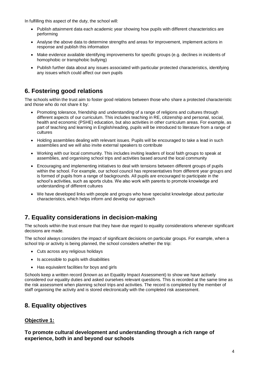In fulfilling this aspect of the duty, the school will:

- Publish attainment data each academic year showing how pupils with different characteristics are performing
- Analyse the above data to determine strengths and areas for improvement, implement actions in response and publish this information
- Make evidence available identifying improvements for specific groups (e.g. declines in incidents of homophobic or transphobic bullying)
- Publish further data about any issues associated with particular protected characteristics, identifying any issues which could affect our own pupils

## **6. Fostering good relations**

The schools within the trust aim to foster good relations between those who share a protected characteristic and those who do not share it by:

- Promoting tolerance, friendship and understanding of a range of religions and cultures through different aspects of our curriculum. This includes teaching in RE, citizenship and personal, social, health and economic (PSHE) education, but also activities in other curriculum areas. For example, as part of teaching and learning in English/reading, pupils will be introduced to literature from a range of cultures
- Holding assemblies dealing with relevant issues. Pupils will be encouraged to take a lead in such assemblies and we will also invite external speakers to contribute
- Working with our local community. This includes inviting leaders of local faith groups to speak at assemblies, and organising school trips and activities based around the local community
- Encouraging and implementing initiatives to deal with tensions between different groups of pupils within the school. For example, our school council has representatives from different year groups and is formed of pupils from a range of backgrounds. All pupils are encouraged to participate in the school's activities, such as sports clubs. We also work with parents to promote knowledge and understanding of different cultures
- We have developed links with people and groups who have specialist knowledge about particular characteristics, which helps inform and develop our approach

## **7. Equality considerations in decision-making**

The schools within the trust ensure that they have due regard to equality considerations whenever significant decisions are made.

The school always considers the impact of significant decisions on particular groups. For example, when a school trip or activity is being planned, the school considers whether the trip:

- Cuts across any religious holidays
- Is accessible to pupils with disabilities
- Has equivalent facilities for boys and girls

Schools keep a written record (known as an Equality Impact Assessment) to show we have actively considered our equality duties and asked ourselves relevant questions. This is recorded at the same time as the risk assessment when planning school trips and activities. The record is completed by the member of staff organising the activity and is stored electronically with the completed risk assessment.

## **8. Equality objectives**

#### **Objective 1:**

**To promote cultural development and understanding through a rich range of experience, both in and beyond our schools**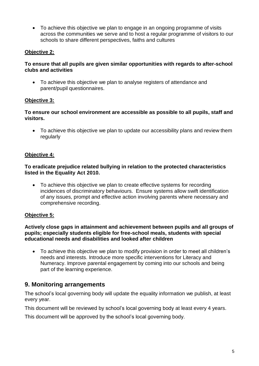• To achieve this objective we plan to engage in an ongoing programme of visits across the communities we serve and to host a regular programme of visitors to our schools to share different perspectives, faiths and cultures

#### **Objective 2:**

#### **To ensure that all pupils are given similar opportunities with regards to after-school clubs and activities**

• To achieve this objective we plan to analyse registers of attendance and parent/pupil questionnaires.

#### **Objective 3:**

**To ensure our school environment are accessible as possible to all pupils, staff and visitors.**

• To achieve this objective we plan to update our accessibility plans and review them regularly

#### **Objective 4:**

#### **To eradicate prejudice related bullying in relation to the protected characteristics listed in the Equality Act 2010.**

• To achieve this objective we plan to create effective systems for recording incidences of discriminatory behaviours. Ensure systems allow swift identification of any issues, prompt and effective action involving parents where necessary and comprehensive recording.

#### **Objective 5:**

#### **Actively close gaps in attainment and achievement between pupils and all groups of pupils; especially students eligible for free-school meals, students with special educational needs and disabilities and looked after children**

• To achieve this objective we plan to modify provision in order to meet all children's needs and interests. Introduce more specific interventions for Literacy and Numeracy. Improve parental engagement by coming into our schools and being part of the learning experience.

### **9. Monitoring arrangements**

The school's local governing body will update the equality information we publish, at least every year.

This document will be reviewed by school's local governing body at least every 4 years.

This document will be approved by the school's local governing body.